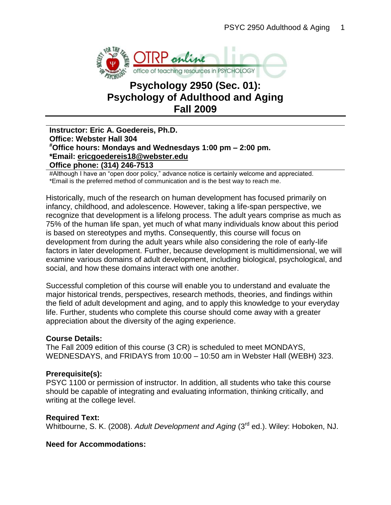

# **Psychology 2950 (Sec. 01): Psychology of Adulthood and Aging Fall 2009**

### **Instructor: Eric A. Goedereis, Ph.D. Office: Webster Hall 304 #Office hours: Mondays and Wednesdays 1:00 pm – 2:00 pm. \*Email: [ericgoedereis18@webster.edu](mailto:ericgoedereis18@webster.edu) Office phone: (314) 246-7513**

#Although I have an "open door policy," advance notice is certainly welcome and appreciated. \*Email is the preferred method of communication and is the best way to reach me.

Historically, much of the research on human development has focused primarily on infancy, childhood, and adolescence. However, taking a life-span perspective, we recognize that development is a lifelong process. The adult years comprise as much as 75% of the human life span, yet much of what many individuals know about this period is based on stereotypes and myths. Consequently, this course will focus on development from during the adult years while also considering the role of early-life factors in later development. Further, because development is multidimensional, we will examine various domains of adult development, including biological, psychological, and social, and how these domains interact with one another.

Successful completion of this course will enable you to understand and evaluate the major historical trends, perspectives, research methods, theories, and findings within the field of adult development and aging, and to apply this knowledge to your everyday life. Further, students who complete this course should come away with a greater appreciation about the diversity of the aging experience.

#### **Course Details:**

The Fall 2009 edition of this course (3 CR) is scheduled to meet MONDAYS, WEDNESDAYS, and FRIDAYS from 10:00 – 10:50 am in Webster Hall (WEBH) 323.

#### **Prerequisite(s):**

PSYC 1100 or permission of instructor. In addition, all students who take this course should be capable of integrating and evaluating information, thinking critically, and writing at the college level.

#### **Required Text:**

Whitbourne, S. K. (2008). *Adult Development and Aging* (3rd ed.). Wiley: Hoboken, NJ.

#### **Need for Accommodations:**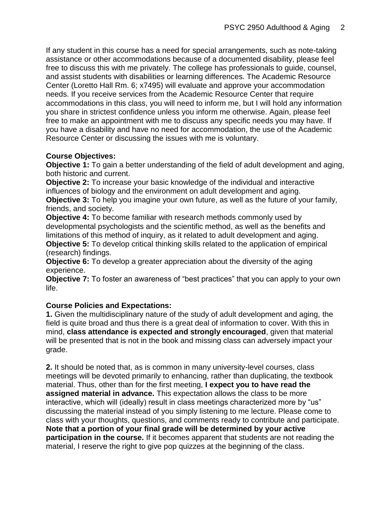If any student in this course has a need for special arrangements, such as note-taking assistance or other accommodations because of a documented disability, please feel free to discuss this with me privately. The college has professionals to guide, counsel, and assist students with disabilities or learning differences. The Academic Resource Center (Loretto Hall Rm. 6; x7495) will evaluate and approve your accommodation needs. If you receive services from the Academic Resource Center that require accommodations in this class, you will need to inform me, but I will hold any information you share in strictest confidence unless you inform me otherwise. Again, please feel free to make an appointment with me to discuss any specific needs you may have. If you have a disability and have no need for accommodation, the use of the Academic Resource Center or discussing the issues with me is voluntary.

# **Course Objectives:**

**Objective 1:** To gain a better understanding of the field of adult development and aging, both historic and current.

**Objective 2:** To increase your basic knowledge of the individual and interactive influences of biology and the environment on adult development and aging.

**Objective 3:** To help you imagine your own future, as well as the future of your family, friends, and society.

**Objective 4:** To become familiar with research methods commonly used by developmental psychologists and the scientific method, as well as the benefits and limitations of this method of inquiry, as it related to adult development and aging.

**Objective 5:** To develop critical thinking skills related to the application of empirical (research) findings.

**Objective 6:** To develop a greater appreciation about the diversity of the aging experience.

**Objective 7:** To foster an awareness of "best practices" that you can apply to your own life.

# **Course Policies and Expectations:**

**1.** Given the multidisciplinary nature of the study of adult development and aging, the field is quite broad and thus there is a great deal of information to cover. With this in mind, **class attendance is expected and strongly encouraged**, given that material will be presented that is not in the book and missing class can adversely impact your grade.

**2.** It should be noted that, as is common in many university-level courses, class meetings will be devoted primarily to enhancing, rather than duplicating, the textbook material. Thus, other than for the first meeting, **I expect you to have read the assigned material in advance.** This expectation allows the class to be more interactive, which will (ideally) result in class meetings characterized more by "us" discussing the material instead of you simply listening to me lecture. Please come to class with your thoughts, questions, and comments ready to contribute and participate. **Note that a portion of your final grade will be determined by your active participation in the course.** If it becomes apparent that students are not reading the material, I reserve the right to give pop quizzes at the beginning of the class.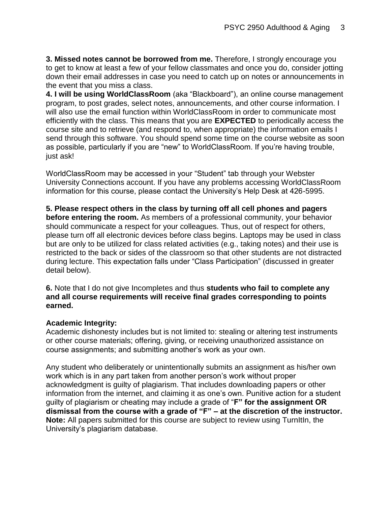**3. Missed notes cannot be borrowed from me.** Therefore, I strongly encourage you to get to know at least a few of your fellow classmates and once you do, consider jotting down their email addresses in case you need to catch up on notes or announcements in the event that you miss a class.

**4. I will be using WorldClassRoom** (aka "Blackboard"), an online course management program, to post grades, select notes, announcements, and other course information. I will also use the email function within WorldClassRoom in order to communicate most efficiently with the class. This means that you are **EXPECTED** to periodically access the course site and to retrieve (and respond to, when appropriate) the information emails I send through this software. You should spend some time on the course website as soon as possible, particularly if you are "new" to WorldClassRoom. If you're having trouble, just ask!

WorldClassRoom may be accessed in your "Student" tab through your Webster University Connections account. If you have any problems accessing WorldClassRoom information for this course, please contact the University's Help Desk at 426-5995.

**5. Please respect others in the class by turning off all cell phones and pagers before entering the room.** As members of a professional community, your behavior should communicate a respect for your colleagues. Thus, out of respect for others, please turn off all electronic devices before class begins. Laptops may be used in class but are only to be utilized for class related activities (e.g., taking notes) and their use is restricted to the back or sides of the classroom so that other students are not distracted during lecture. This expectation falls under "Class Participation" (discussed in greater detail below).

**6.** Note that I do not give Incompletes and thus **students who fail to complete any and all course requirements will receive final grades corresponding to points earned.** 

# **Academic Integrity:**

Academic dishonesty includes but is not limited to: stealing or altering test instruments or other course materials; offering, giving, or receiving unauthorized assistance on course assignments; and submitting another's work as your own.

Any student who deliberately or unintentionally submits an assignment as his/her own work which is in any part taken from another person's work without proper acknowledgment is guilty of plagiarism. That includes downloading papers or other information from the internet, and claiming it as one's own. Punitive action for a student guilty of plagiarism or cheating may include a grade of "**F" for the assignment OR dismissal from the course with a grade of "F" – at the discretion of the instructor. Note:** All papers submitted for this course are subject to review using TurnItIn, the University's plagiarism database.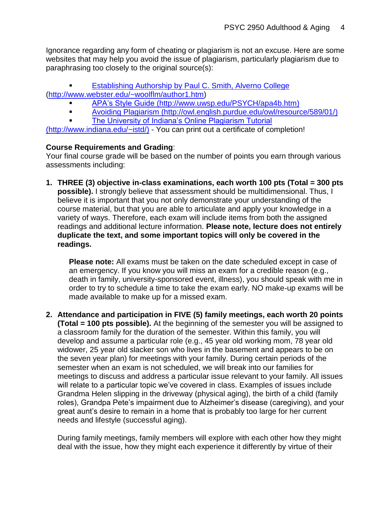Ignorance regarding any form of cheating or plagiarism is not an excuse. Here are some websites that may help you avoid the issue of plagiarism, particularly plagiarism due to paraphrasing too closely to the original source(s):

**Establishing Authorship by Paul C. Smith, Alverno College** [\(http://www.webster.edu/~woolflm/author1.htm\)](http://www.webster.edu/~woolflm/author1.htm)

- [APA's Style Guide](http://www.uwsp.edu/PSYCH/apa4b.htm) (http://www.uwsp.edu/PSYCH/apa4b.htm)
- [Avoiding Plagiarism](http://owl.english.purdue.edu/owl/resource/589/01/) [\(http://owl.english.purdue.edu/owl/resource/589/01/\)](http://owl.english.purdue.edu/owl/resource/589/01/)
- [The University of Indiana's Online Plagiarism Tutorial](http://www.indiana.edu/~istd/)

(http://www.indiana.edu/~istd/) - You can print out a certificate of completion!

# **Course Requirements and Grading**:

Your final course grade will be based on the number of points you earn through various assessments including:

**1. THREE (3) objective in-class examinations, each worth 100 pts (Total = 300 pts possible).** I strongly believe that assessment should be multidimensional. Thus, I believe it is important that you not only demonstrate your understanding of the course material, but that you are able to articulate and apply your knowledge in a variety of ways. Therefore, each exam will include items from both the assigned readings and additional lecture information. **Please note, lecture does not entirely duplicate the text, and some important topics will only be covered in the readings.**

**Please note:** All exams must be taken on the date scheduled except in case of an emergency. If you know you will miss an exam for a credible reason (e.g., death in family, university-sponsored event, illness), you should speak with me in order to try to schedule a time to take the exam early. NO make-up exams will be made available to make up for a missed exam.

**2. Attendance and participation in FIVE (5) family meetings, each worth 20 points (Total = 100 pts possible).** At the beginning of the semester you will be assigned to a classroom family for the duration of the semester. Within this family, you will develop and assume a particular role (e.g., 45 year old working mom, 78 year old widower, 25 year old slacker son who lives in the basement and appears to be on the seven year plan) for meetings with your family. During certain periods of the semester when an exam is not scheduled, we will break into our families for meetings to discuss and address a particular issue relevant to your family. All issues will relate to a particular topic we've covered in class. Examples of issues include Grandma Helen slipping in the driveway (physical aging), the birth of a child (family roles), Grandpa Pete's impairment due to Alzheimer's disease (caregiving), and your great aunt's desire to remain in a home that is probably too large for her current needs and lifestyle (successful aging).

During family meetings, family members will explore with each other how they might deal with the issue, how they might each experience it differently by virtue of their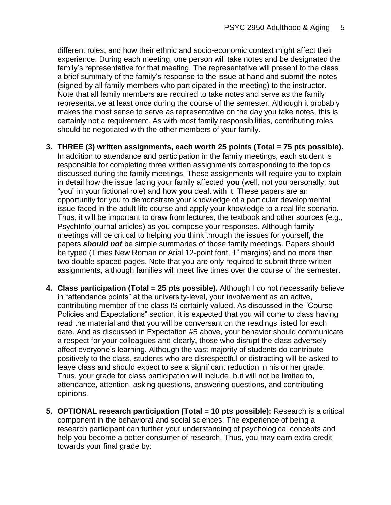different roles, and how their ethnic and socio-economic context might affect their experience. During each meeting, one person will take notes and be designated the family's representative for that meeting. The representative will present to the class a brief summary of the family's response to the issue at hand and submit the notes (signed by all family members who participated in the meeting) to the instructor. Note that all family members are required to take notes and serve as the family representative at least once during the course of the semester. Although it probably makes the most sense to serve as representative on the day you take notes, this is certainly not a requirement. As with most family responsibilities, contributing roles should be negotiated with the other members of your family.

- **3. THREE (3) written assignments, each worth 25 points (Total = 75 pts possible).** In addition to attendance and participation in the family meetings, each student is responsible for completing three written assignments corresponding to the topics discussed during the family meetings. These assignments will require you to explain in detail how the issue facing your family affected **you** (well, not you personally, but "you" in your fictional role) and how **you** dealt with it. These papers are an opportunity for you to demonstrate your knowledge of a particular developmental issue faced in the adult life course and apply your knowledge to a real life scenario. Thus, it will be important to draw from lectures, the textbook and other sources (e.g., PsychInfo journal articles) as you compose your responses. Although family meetings will be critical to helping you think through the issues for yourself, the papers *should not* be simple summaries of those family meetings. Papers should be typed (Times New Roman or Arial 12-point font, 1" margins) and no more than two double-spaced pages. Note that you are only required to submit three written assignments, although families will meet five times over the course of the semester.
- **4. Class participation (Total = 25 pts possible).** Although I do not necessarily believe in "attendance points" at the university-level, your involvement as an active, contributing member of the class IS certainly valued. As discussed in the "Course Policies and Expectations" section, it is expected that you will come to class having read the material and that you will be conversant on the readings listed for each date. And as discussed in Expectation #5 above, your behavior should communicate a respect for your colleagues and clearly, those who disrupt the class adversely affect everyone's learning. Although the vast majority of students do contribute positively to the class, students who are disrespectful or distracting will be asked to leave class and should expect to see a significant reduction in his or her grade. Thus, your grade for class participation will include, but will not be limited to, attendance, attention, asking questions, answering questions, and contributing opinions.
- **5. OPTIONAL research participation (Total = 10 pts possible):** Research is a critical component in the behavioral and social sciences. The experience of being a research participant can further your understanding of psychological concepts and help you become a better consumer of research. Thus, you may earn extra credit towards your final grade by: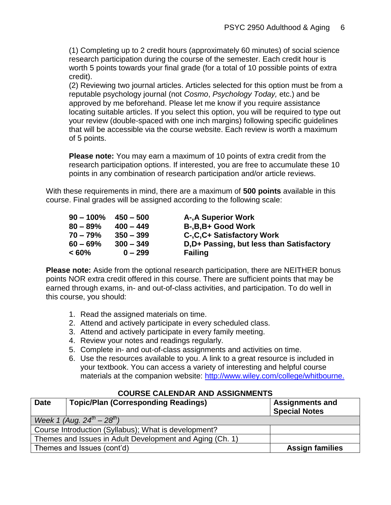(1) Completing up to 2 credit hours (approximately 60 minutes) of social science research participation during the course of the semester. Each credit hour is worth 5 points towards your final grade (for a total of 10 possible points of extra credit).

(2) Reviewing two journal articles. Articles selected for this option must be from a reputable psychology journal (not *Cosmo*, *Psychology Today,* etc.) and be approved by me beforehand. Please let me know if you require assistance locating suitable articles. If you select this option, you will be required to type out your review (double-spaced with one inch margins) following specific guidelines that will be accessible via the course website. Each review is worth a maximum of 5 points.

**Please note:** You may earn a maximum of 10 points of extra credit from the research participation options. If interested, you are free to accumulate these 10 points in any combination of research participation and/or article reviews.

With these requirements in mind, there are a maximum of **500 points** available in this course. Final grades will be assigned according to the following scale:

| $90 - 100\%$ | $450 - 500$ | A-, A Superior Work                       |
|--------------|-------------|-------------------------------------------|
| $80 - 89%$   | $400 - 449$ | B-, B, B+ Good Work                       |
| 70 – 79%     | $350 - 399$ | C-, C, C+ Satisfactory Work               |
| $60 - 69\%$  | $300 - 349$ | D, D+ Passing, but less than Satisfactory |
| $< 60\%$     | $0 - 299$   | <b>Failing</b>                            |

**Please note:** Aside from the optional research participation, there are NEITHER bonus points NOR extra credit offered in this course. There are sufficient points that may be earned through exams, in- and out-of-class activities, and participation. To do well in this course, you should:

- 1. Read the assigned materials on time.
- 2. Attend and actively participate in every scheduled class.
- 3. Attend and actively participate in every family meeting.
- 4. Review your notes and readings regularly.
- 5. Complete in- and out-of-class assignments and activities on time.
- 6. Use the resources available to you. A link to a great resource is included in your textbook. You can access a variety of interesting and helpful course materials at the companion website:<http://www.wiley.com/college/whitbourne.>

| <b>Date</b> | <b>Topic/Plan (Corresponding Readings)</b>               | <b>Assignments and</b><br><b>Special Notes</b> |  |  |
|-------------|----------------------------------------------------------|------------------------------------------------|--|--|
|             | Week 1 (Aug. $24^{th} - 28^{th}$ )                       |                                                |  |  |
|             | Course Introduction (Syllabus); What is development?     |                                                |  |  |
|             | Themes and Issues in Adult Development and Aging (Ch. 1) |                                                |  |  |
|             | Themes and Issues (cont'd)                               | <b>Assign families</b>                         |  |  |

# **COURSE CALENDAR AND ASSIGNMENTS**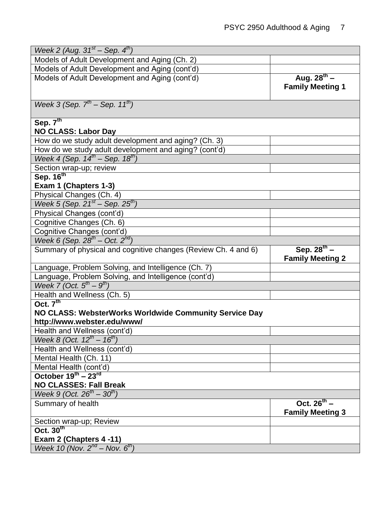| Week 2 (Aug. $31^{st}$ – Sep. $4^{th}$ )                       |                                             |  |  |
|----------------------------------------------------------------|---------------------------------------------|--|--|
| Models of Adult Development and Aging (Ch. 2)                  |                                             |  |  |
| Models of Adult Development and Aging (cont'd)                 |                                             |  |  |
| Models of Adult Development and Aging (cont'd)                 | Aug. $28^{th}$ –<br><b>Family Meeting 1</b> |  |  |
| Week 3 (Sep. $7^{th}$ – Sep. 11 <sup>th</sup> )                |                                             |  |  |
| Sep. $7th$                                                     |                                             |  |  |
| <b>NO CLASS: Labor Day</b>                                     |                                             |  |  |
| How do we study adult development and aging? (Ch. 3)           |                                             |  |  |
| How do we study adult development and aging? (cont'd)          |                                             |  |  |
| Week $4 \overline{(Sep. 14^{th} - Sep. 18^{th})}$              |                                             |  |  |
| Section wrap-up; review                                        |                                             |  |  |
| Sep. 16 <sup>th</sup>                                          |                                             |  |  |
| Exam 1 (Chapters 1-3)                                          |                                             |  |  |
| Physical Changes (Ch. 4)                                       |                                             |  |  |
| Week 5 (Sep. $21^{st}$ – Sep. $25^{th}$ )                      |                                             |  |  |
| Physical Changes (cont'd)                                      |                                             |  |  |
| Cognitive Changes (Ch. 6)                                      |                                             |  |  |
| Cognitive Changes (cont'd)                                     |                                             |  |  |
| Week 6 (Sep. $28^{th}$ – Oct. $2^{nd}$ )                       |                                             |  |  |
| Summary of physical and cognitive changes (Review Ch. 4 and 6) | Sep. $28^{th}$ –<br><b>Family Meeting 2</b> |  |  |
| Language, Problem Solving, and Intelligence (Ch. 7)            |                                             |  |  |
| Language, Problem Solving, and Intelligence (cont'd)           |                                             |  |  |
| Week 7 (Oct. $5^{th}$ – $9^{th}$ )                             |                                             |  |  |
| Health and Wellness (Ch. 5)                                    |                                             |  |  |
| Oct. $7th$                                                     |                                             |  |  |
| NO CLASS: WebsterWorks Worldwide Community Service Day         |                                             |  |  |
| http://www.webster.edu/www/                                    |                                             |  |  |
| Health and Wellness (cont'd)                                   |                                             |  |  |
| Week 8 (Oct. $12^{th} - 16^{th}$ )                             |                                             |  |  |
| Health and Wellness (cont'd)                                   |                                             |  |  |
| Mental Health (Ch. 11)                                         |                                             |  |  |
| Mental Health (cont'd)                                         |                                             |  |  |
| October $19^{th}$ – $23^{rd}$                                  |                                             |  |  |
| <b>NO CLASSES: Fall Break</b>                                  |                                             |  |  |
| Week 9 (Oct. $26^{th} - 30^{th}$ )                             |                                             |  |  |
| Summary of health                                              | Oct. $26^{th}$ –<br><b>Family Meeting 3</b> |  |  |
| Section wrap-up; Review                                        |                                             |  |  |
| Oct. $30th$                                                    |                                             |  |  |
| Exam 2 (Chapters 4 -11)                                        |                                             |  |  |
| Week 10 (Nov. $2^{nd}$ – Nov. $6^{th}$ )                       |                                             |  |  |